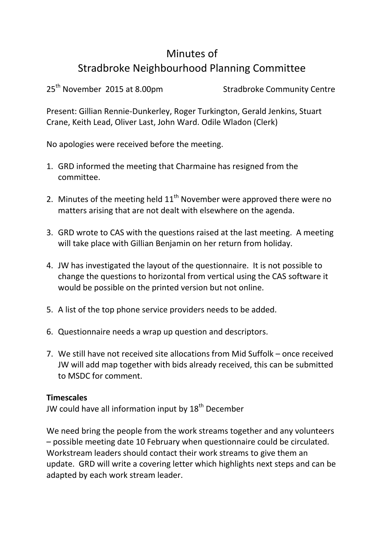## Minutes of Stradbroke Neighbourhood Planning Committee

25<sup>th</sup> November 2015 at 8.00pm Stradbroke Community Centre

Present: Gillian Rennie-Dunkerley, Roger Turkington, Gerald Jenkins, Stuart Crane, Keith Lead, Oliver Last, John Ward. Odile Wladon (Clerk)

No apologies were received before the meeting.

- 1. GRD informed the meeting that Charmaine has resigned from the committee.
- 2. Minutes of the meeting held  $11<sup>th</sup>$  November were approved there were no matters arising that are not dealt with elsewhere on the agenda.
- 3. GRD wrote to CAS with the questions raised at the last meeting. A meeting will take place with Gillian Benjamin on her return from holiday.
- 4. JW has investigated the layout of the questionnaire. It is not possible to change the questions to horizontal from vertical using the CAS software it would be possible on the printed version but not online.
- 5. A list of the top phone service providers needs to be added.
- 6. Questionnaire needs a wrap up question and descriptors.
- 7. We still have not received site allocations from Mid Suffolk once received JW will add map together with bids already received, this can be submitted to MSDC for comment.

## **Timescales**

JW could have all information input by 18<sup>th</sup> December

We need bring the people from the work streams together and any volunteers – possible meeting date 10 February when questionnaire could be circulated. Workstream leaders should contact their work streams to give them an update. GRD will write a covering letter which highlights next steps and can be adapted by each work stream leader.